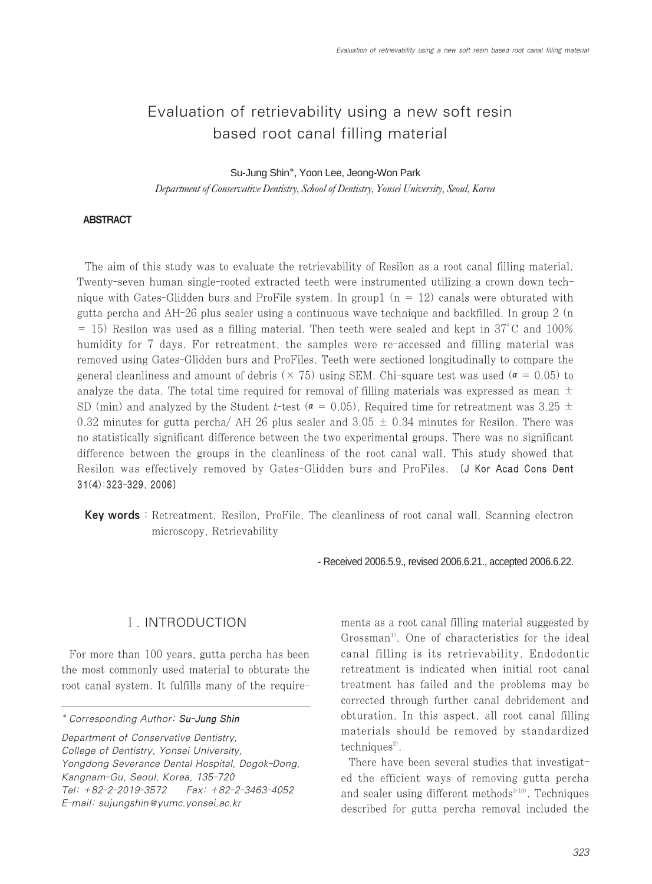# Evaluation of retrievability using a new soft resin based root canal filling material

Su-Jung Shin\*, Yoon Lee, Jeong-Won Park

*Department of Conservative Dentistry, School of Dentistry, Yonsei University, Seoul, Korea*

#### ABSTRACT

The aim of this study was to evaluate the retrievability of Resilon as a root canal filling material. Twenty-seven human single-rooted extracted teeth were instrumented utilizing a crown down technique with Gates-Glidden burs and ProFile system. In group1 ( $n = 12$ ) canals were obturated with gutta percha and AH-26 plus sealer using a continuous wave technique and backfilled. In group 2 (n  $=$  15) Resilon was used as a filling material. Then teeth were sealed and kept in 37 $^{\circ}$ C and 100% humidity for 7 days. For retreatment, the samples were re-accessed and filling material was removed using Gates-Glidden burs and ProFiles. Teeth were sectioned longitudinally to compare the general cleanliness and amount of debris ( $\times$  75) using SEM. Chi-square test was used ( $\alpha$  = 0.05) to analyze the data. The total time required for removal of filling materials was expressed as mean  $\pm$ SD (min) and analyzed by the Student t-test ( $\alpha$  = 0.05). Required time for retreatment was 3.25  $\pm$ 0.32 minutes for gutta percha/ AH 26 plus sealer and  $3.05 \pm 0.34$  minutes for Resilon. There was no statistically significant difference between the two experimental groups. There was no significant difference between the groups in the cleanliness of the root canal wall. This study showed that Resilon was effectively removed by Gates-Glidden burs and ProFiles. [J Kor Acad Cons Dent 31(4):323-329, 2006]

Key words : Retreatment, Resilon, ProFile, The cleanliness of root canal wall, Scanning electron microscopy, Retrievability

- Received 2006.5.9., revised 2006.6.21., accepted 2006.6.22.

# Ⅰ. INTRODUCTION

For more than 100 years, gutta percha has been the most commonly used material to obturate the root canal system. It fulfills many of the require-

Department of Conservative Dentistry, College of Dentistry, Yonsei University, Yongdong Severance Dental Hospital, Dogok-Dong, Kangnam-Gu, Seoul, Korea, 135-720 Tel: +82-2-2019-3572 Fax: +82-2-3463-4052 E-mail: sujungshin@yumc.yonsei.ac.kr

ments as a root canal filling material suggested by Grossman<sup>1)</sup>. One of characteristics for the ideal canal filling is its retrievability. Endodontic retreatment is indicated when initial root canal treatment has failed and the problems may be corrected through further canal debridement and obturation. In this aspect, all root canal filling materials should be removed by standardized  $techniques<sup>2</sup>$ .

There have been several studies that investigated the efficient ways of removing gutta percha and sealer using different methods $3-10$ . Techniques described for gutta percha removal included the

<sup>\*</sup> Corresponding Author: Su-Jung Shin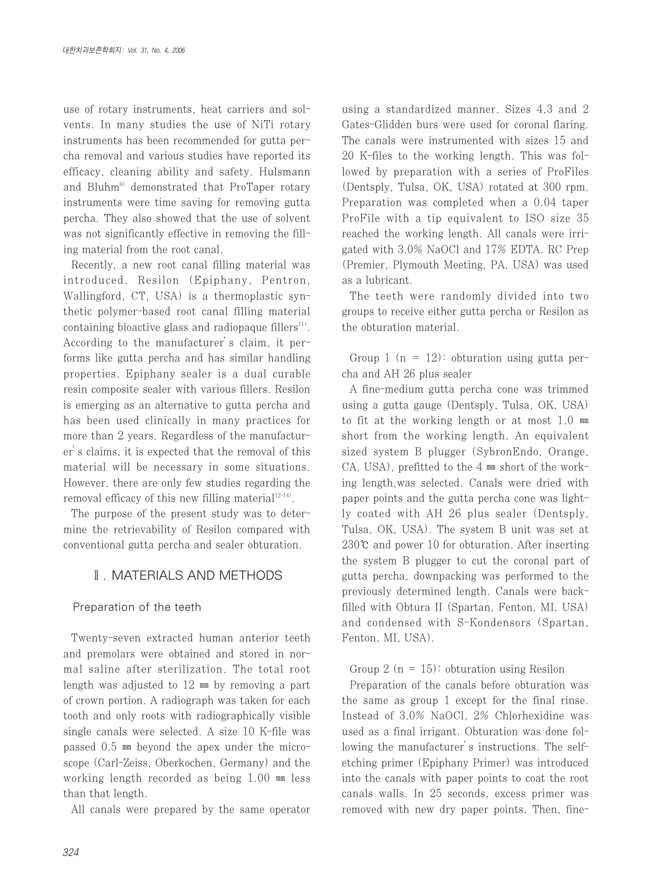use of rotary instruments, heat carriers and solvents. In many studies the use of NiTi rotary instruments has been recommended for gutta percha removal and various studies have reported its efficacy, cleaning ability and safety. Hulsmann and Bluhm<sup>6)</sup> demonstrated that ProTaper rotary instruments were time saving for removing gutta percha. They also showed that the use of solvent was not significantly effective in removing the filling material from the root canal.

Recently, a new root canal filling material was introduced. Resilon (Epiphany, Pentron, Wallingford, CT, USA) is a thermoplastic synthetic polymer-based root canal filling material containing bioactive glass and radiopaque fillers<sup>11</sup>. According to the manufacturer's claim, it performs like gutta percha and has similar handling properties. Epiphany sealer is a dual curable resin composite sealer with various fillers. Resilon is emerging as an alternative to gutta percha and has been used clinically in many practices for more than 2 years. Regardless of the manufacturer's claims, it is expected that the removal of this material will be necessary in some situations. However, there are only few studies regarding the removal efficacy of this new filling material<sup>12-14)</sup>.

The purpose of the present study was to determine the retrievability of Resilon compared with conventional gutta percha and sealer obturation.

# Ⅱ. MATERIALS AND METHODS

#### Preparation of the teeth

Twenty-seven extracted human anterior teeth and premolars were obtained and stored in normal saline after sterilization. The total root length was adjusted to 12 ㎜ by removing a part of crown portion. A radiograph was taken for each tooth and only roots with radiographically visible single canals were selected. A size 10 K-file was passed 0.5 ㎜ beyond the apex under the microscope (Carl-Zeiss, Oberkochen, Germany) and the working length recorded as being 1.00 ㎜ less than that length.

All canals were prepared by the same operator

using a standardized manner. Sizes 4,3 and 2 Gates-Glidden burs were used for coronal flaring. The canals were instrumented with sizes 15 and 20 K-files to the working length. This was followed by preparation with a series of ProFiles (Dentsply, Tulsa, OK, USA) rotated at 300 rpm. Preparation was completed when a 0.04 taper ProFile with a tip equivalent to ISO size 35 reached the working length. All canals were irrigated with 3.0% NaOCl and 17% EDTA. RC Prep (Premier, Plymouth Meeting, PA, USA) was used as a lubricant.

The teeth were randomly divided into two groups to receive either gutta percha or Resilon as the obturation material.

Group 1 ( $n = 12$ ): obturation using gutta percha and AH 26 plus sealer

A fine-medium gutta percha cone was trimmed using a gutta gauge (Dentsply, Tulsa, OK, USA) to fit at the working length or at most 1.0 ㎜ short from the working length. An equivalent sized system B plugger (SybronEndo, Orange, CA, USA), prefitted to the 4 ㎜ short of the working length,was selected. Canals were dried with paper points and the gutta percha cone was lightly coated with AH 26 plus sealer (Dentsply, Tulsa, OK, USA). The system B unit was set at 230℃ and power 10 for obturation. After inserting the system B plugger to cut the coronal part of gutta percha, downpacking was performed to the previously determined length. Canals were backfilled with Obtura II (Spartan, Fenton, MI, USA) and condensed with S-Kondensors (Spartan, Fenton, MI, USA).

Group 2 ( $n = 15$ ): obturation using Resilon

Preparation of the canals before obturation was the same as group 1 except for the final rinse. Instead of 3.0% NaOCl, 2% Chlorhexidine was used as a final irrigant. Obturation was done following the manufacturer's instructions. The selfetching primer (Epiphany Primer) was introduced into the canals with paper points to coat the root canals walls. In 25 seconds, excess primer was removed with new dry paper points. Then, fine-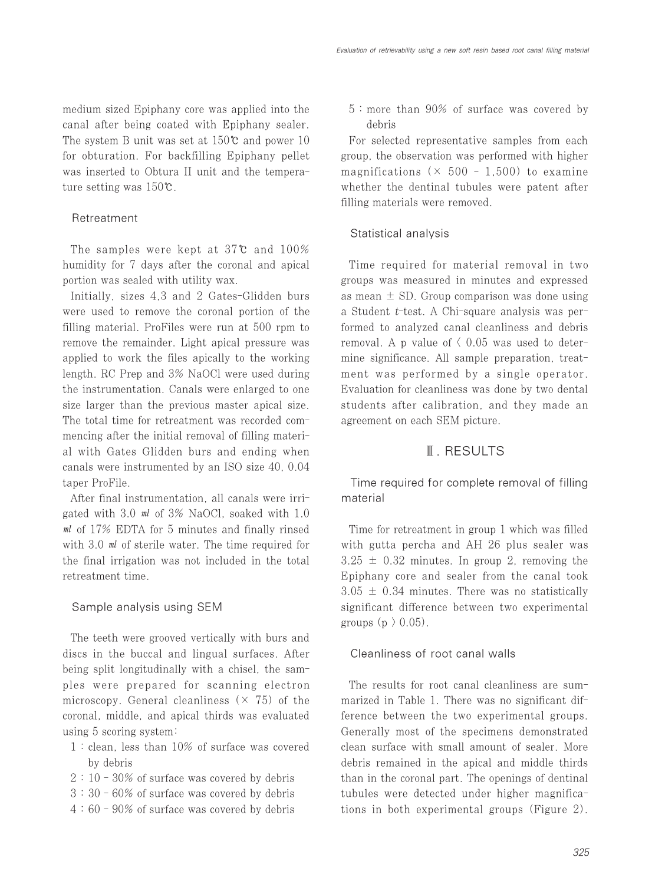medium sized Epiphany core was applied into the canal after being coated with Epiphany sealer. The system B unit was set at 150℃ and power 10 for obturation. For backfilling Epiphany pellet was inserted to Obtura II unit and the temperature setting was 150℃.

#### Retreatment

The samples were kept at 37℃ and 100% humidity for 7 days after the coronal and apical portion was sealed with utility wax.

Initially, sizes 4,3 and 2 Gates-Glidden burs were used to remove the coronal portion of the filling material. ProFiles were run at 500 rpm to remove the remainder. Light apical pressure was applied to work the files apically to the working length. RC Prep and 3% NaOCl were used during the instrumentation. Canals were enlarged to one size larger than the previous master apical size. The total time for retreatment was recorded commencing after the initial removal of filling material with Gates Glidden burs and ending when canals were instrumented by an ISO size 40, 0.04 taper ProFile.

After final instrumentation, all canals were irrigated with 3.0 ㎖ of 3% NaOCl, soaked with 1.0 ㎖ of 17% EDTA for 5 minutes and finally rinsed with 3.0 ml of sterile water. The time required for the final irrigation was not included in the total retreatment time.

## Sample analysis using SEM

The teeth were grooved vertically with burs and discs in the buccal and lingual surfaces. After being split longitudinally with a chisel, the samples were prepared for scanning electron microscopy. General cleanliness  $(x, 75)$  of the coronal, middle, and apical thirds was evaluated using 5 scoring system:

- 1 : clean, less than 10% of surface was covered by debris
- 2 : 10 30% of surface was covered by debris
- 3 : 30 60% of surface was covered by debris
- 4 : 60 90% of surface was covered by debris

5 : more than 90% of surface was covered by debris

For selected representative samples from each group, the observation was performed with higher magnifications ( $\times$  500 - 1,500) to examine whether the dentinal tubules were patent after filling materials were removed.

## Statistical analysis

Time required for material removal in two groups was measured in minutes and expressed as mean  $\pm$  SD. Group comparison was done using a Student t-test. A Chi-square analysis was performed to analyzed canal cleanliness and debris removal. A p value of  $\langle 0.05 \text{ was used to deter-}$ mine significance. All sample preparation, treatment was performed by a single operator. Evaluation for cleanliness was done by two dental students after calibration, and they made an agreement on each SEM picture.

## Ⅲ. RESULTS

Time required for complete removal of filling material

Time for retreatment in group 1 which was filled with gutta percha and AH 26 plus sealer was  $3.25 \pm 0.32$  minutes. In group 2, removing the Epiphany core and sealer from the canal took  $3.05 \pm 0.34$  minutes. There was no statistically significant difference between two experimental groups  $(p \nvert 0.05)$ .

#### Cleanliness of root canal walls

The results for root canal cleanliness are summarized in Table 1. There was no significant difference between the two experimental groups. Generally most of the specimens demonstrated clean surface with small amount of sealer. More debris remained in the apical and middle thirds than in the coronal part. The openings of dentinal tubules were detected under higher magnifications in both experimental groups (Figure 2).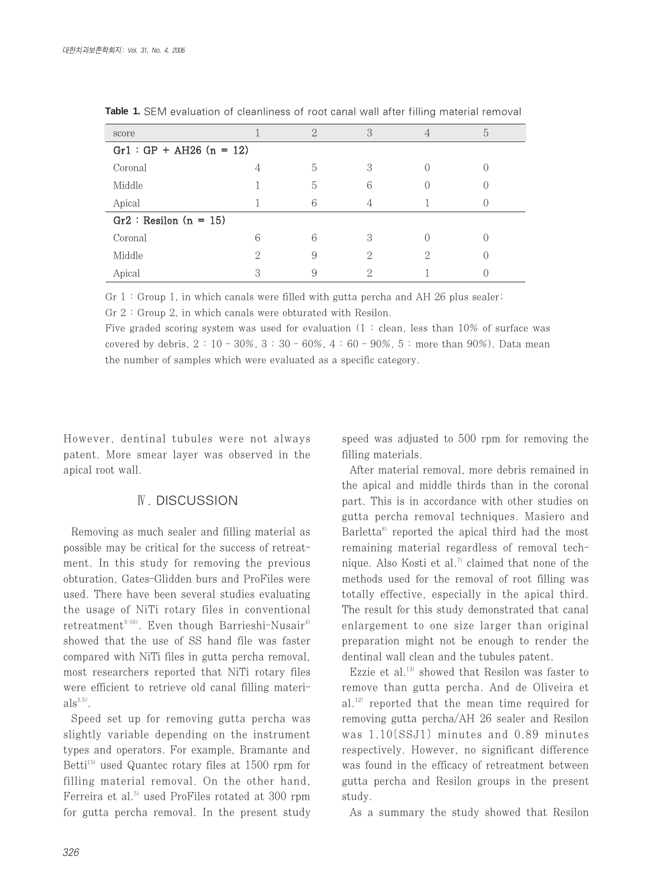| score                     |   | $\Omega$ | З |  | 5 |
|---------------------------|---|----------|---|--|---|
| $Gr1: GP + AH26 (n = 12)$ |   |          |   |  |   |
| Coronal                   | 4 | 5        | 3 |  |   |
| Middle                    |   | 5        | 6 |  |   |
| Apical                    |   | 6        |   |  |   |
| $Gr2: Resilon (n = 15)$   |   |          |   |  |   |
| Coronal                   | 6 | 6        | 3 |  |   |
| Middle                    | ↷ | 9        | 2 |  |   |
| Apical                    | О |          |   |  |   |

**Table 1.** SEM evaluation of cleanliness of root canal wall after filling material removal

Gr 1 : Group 1, in which canals were filled with gutta percha and AH 26 plus sealer;

Gr 2 : Group 2, in which canals were obturated with Resilon.

Five graded scoring system was used for evaluation  $(1 : clean, less than 10\%$  of surface was covered by debris,  $2 : 10 - 30\%$ ,  $3 : 30 - 60\%$ ,  $4 : 60 - 90\%$ ,  $5 :$  more than  $90\%$ ). Data mean the number of samples which were evaluated as a specific category.

However, dentinal tubules were not always patent. More smear layer was observed in the apical root wall.

# Ⅳ. DISCUSSION

Removing as much sealer and filling material as possible may be critical for the success of retreatment. In this study for removing the previous obturation, Gates-Glidden burs and ProFiles were used. There have been several studies evaluating the usage of NiTi rotary files in conventional retreatment<sup>3-10)</sup>. Even though Barrieshi-Nusair<sup>4)</sup> showed that the use of SS hand file was faster compared with NiTi files in gutta percha removal, most researchers reported that NiTi rotary files were efficient to retrieve old canal filling materi $als^{3,5)}$ .

Speed set up for removing gutta percha was slightly variable depending on the instrument types and operators. For example, Bramante and Betti<sup>15)</sup> used Quantec rotary files at 1500 rpm for filling material removal. On the other hand, Ferreira et al.<sup>5)</sup> used ProFiles rotated at 300 rpm for gutta percha removal. In the present study speed was adjusted to 500 rpm for removing the filling materials.

After material removal, more debris remained in the apical and middle thirds than in the coronal part. This is in accordance with other studies on gutta percha removal techniques. Masiero and Barletta $\delta$  reported the apical third had the most remaining material regardless of removal technique. Also Kosti et al.<sup>7)</sup> claimed that none of the methods used for the removal of root filling was totally effective, especially in the apical third. The result for this study demonstrated that canal enlargement to one size larger than original preparation might not be enough to render the dentinal wall clean and the tubules patent.

Ezzie et al.<sup>13)</sup> showed that Resilon was faster to remove than gutta percha. And de Oliveira et al.12) reported that the mean time required for removing gutta percha/AH 26 sealer and Resilon was 1.10[SSJ1] minutes and 0.89 minutes respectively. However, no significant difference was found in the efficacy of retreatment between gutta percha and Resilon groups in the present study.

As a summary the study showed that Resilon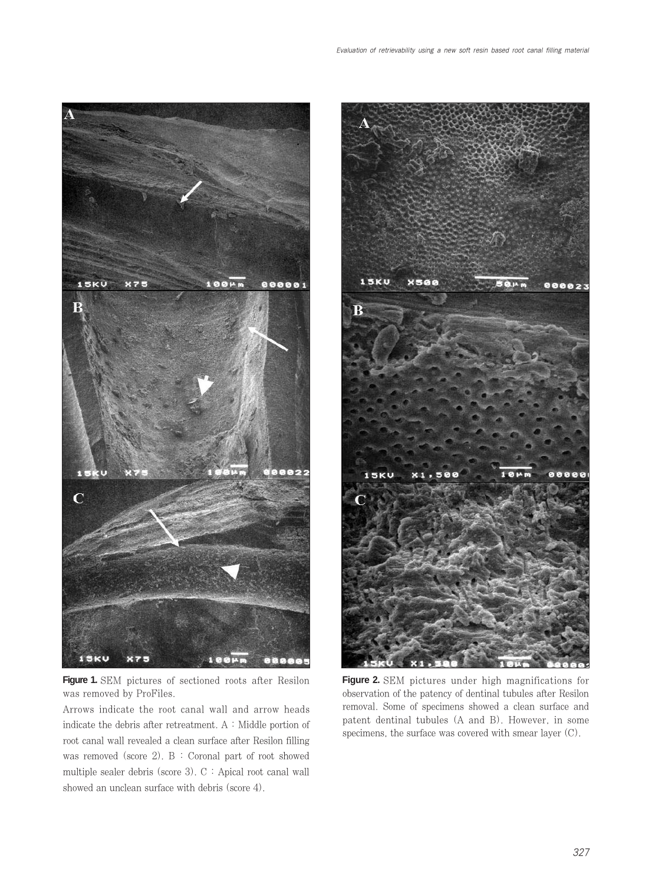

Evaluation of retrievability using a new soft resin based root canal filling material

15KU  $X506$ R 5KU

**Figure 1.** SEM pictures of sectioned roots after Resilon was removed by ProFiles.

Arrows indicate the root canal wall and arrow heads indicate the debris after retreatment. A : Middle portion of root canal wall revealed a clean surface after Resilon filling was removed (score 2). B : Coronal part of root showed multiple sealer debris (score 3). C : Apical root canal wall showed an unclean surface with debris (score 4).

**Figure 2.** SEM pictures under high magnifications for observation of the patency of dentinal tubules after Resilon removal. Some of specimens showed a clean surface and patent dentinal tubules (A and B). However, in some specimens, the surface was covered with smear layer (C).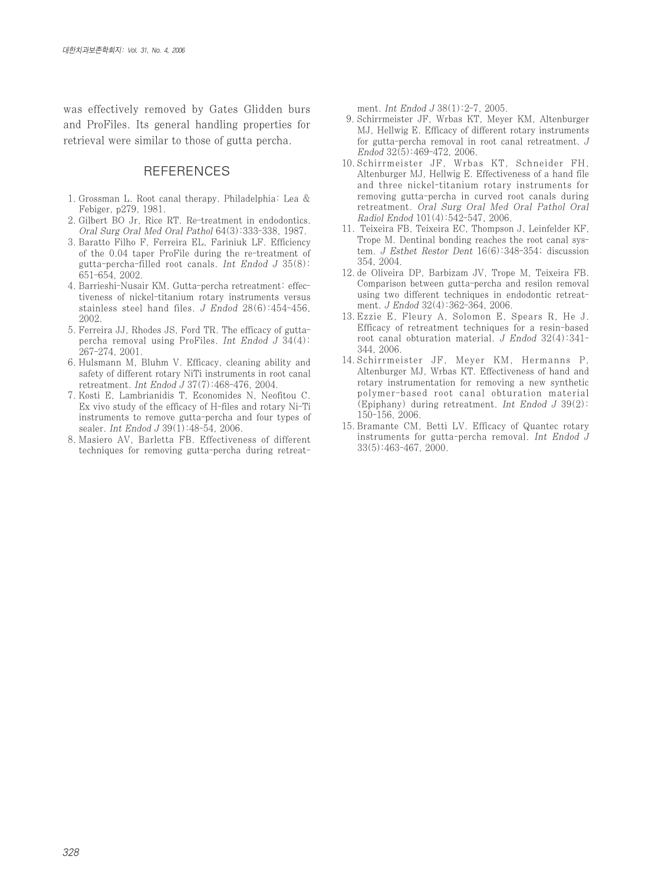was effectively removed by Gates Glidden burs and ProFiles. Its general handling properties for retrieval were similar to those of gutta percha.

## **REFERENCES**

- 1. Grossman L. Root canal therapy. Philadelphia: Lea & Febiger, p279, 1981.
- 2. Gilbert BO Jr, Rice RT. Re-treatment in endodontics. Oral Surg Oral Med Oral Pathol 64(3):333-338, 1987.
- 3. Baratto Filho F, Ferreira EL, Fariniuk LF. Efficiency of the 0.04 taper ProFile during the re-treatment of gutta-percha-filled root canals. Int Endod  $J$  35(8): 651-654, 2002.
- 4. Barrieshi-Nusair KM. Gutta-percha retreatment: effectiveness of nickel-titanium rotary instruments versus stainless steel hand files. J Endod 28(6):454-456, 2002.
- 5. Ferreira JJ, Rhodes JS, Ford TR. The efficacy of guttapercha removal using ProFiles. Int Endod J 34(4): 267-274, 2001.
- 6. Hulsmann M, Bluhm V. Efficacy, cleaning ability and safety of different rotary NiTi instruments in root canal retreatment. Int Endod J 37(7):468-476, 2004.
- 7. Kosti E, Lambrianidis T, Economides N, Neofitou C. Ex vivo study of the efficacy of H-files and rotary Ni-Ti instruments to remove gutta-percha and four types of sealer. Int Endod J 39(1):48-54, 2006.
- 8. Masiero AV, Barletta FB. Effectiveness of different techniques for removing gutta-percha during retreat-

ment. Int Endod J 38(1):2-7, 2005.

- 9. Schirrmeister JF, Wrbas KT, Meyer KM, Altenburger MJ, Hellwig E. Efficacy of different rotary instruments for gutta-percha removal in root canal retreatment. J Endod 32(5):469-472, 2006.
- 10. Schirrmeister JF, Wrbas KT, Schneider FH, Altenburger MJ, Hellwig E. Effectiveness of a hand file and three nickel-titanium rotary instruments for removing gutta-percha in curved root canals during retreatment. Oral Surg Oral Med Oral Pathol Oral Radiol Endod 101(4):542-547, 2006.
- 11. Teixeira FB, Teixeira EC, Thompson J, Leinfelder KF, Trope M. Dentinal bonding reaches the root canal system. J Esthet Restor Dent 16(6):348-354; discussion 354, 2004.
- 12. de Oliveira DP, Barbizam JV, Trope M, Teixeira FB. Comparison between gutta-percha and resilon removal using two different techniques in endodontic retreatment. J Endod 32(4):362-364, 2006.
- 13. Ezzie E, Fleury A, Solomon E, Spears R, He J. Efficacy of retreatment techniques for a resin-based root canal obturation material. J Endod  $32(4):341-$ 344, 2006.
- 14. Schirrmeister JF, Meyer KM, Hermanns P, Altenburger MJ, Wrbas KT. Effectiveness of hand and rotary instrumentation for removing a new synthetic polymer-based root canal obturation material (Epiphany) during retreatment. Int Endod  $J$  39(2): 150-156, 2006.
- 15. Bramante CM, Betti LV. Efficacy of Quantec rotary instruments for gutta-percha removal. Int Endod J 33(5):463-467, 2000.